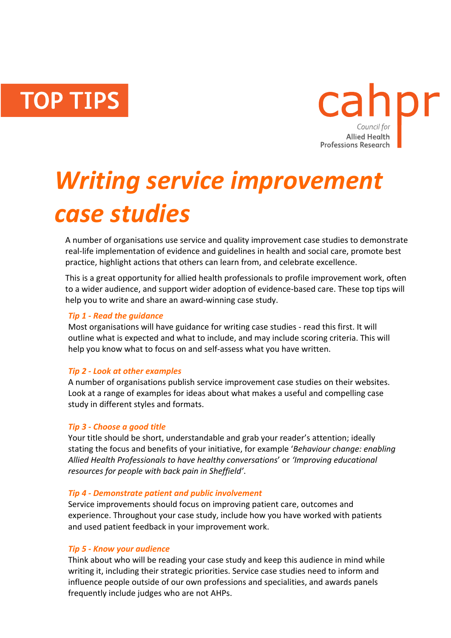**TOP TIPS** 



# *Writing service improvement case studies*

A number of organisations use service and quality improvement case studies to demonstrate real-life implementation of evidence and guidelines in health and social care, promote best practice, highlight actions that others can learn from, and celebrate excellence.

This is a great opportunity for allied health professionals to profile improvement work, often to a wider audience, and support wider adoption of evidence-based care. These top tips will help you to write and share an award-winning case study.

# *Tip 1 - Read the guidance*

Most organisations will have guidance for writing case studies - read this first. It will outline what is expected and what to include, and may include scoring criteria. This will help you know what to focus on and self-assess what you have written.

# *Tip 2 - Look at other examples*

A number of organisations publish service improvement case studies on their websites. Look at a range of examples for ideas about what makes a useful and compelling case study in different styles and formats.

## *Tip 3 - Choose a good title*

Your title should be short, understandable and grab your reader's attention; ideally stating the focus and benefits of your initiative, for example '*Behaviour change: enabling Allied Health Professionals to have healthy conversations*' or *'Improving educational resources for people with back pain in Sheffield'*.

## *Tip 4 - Demonstrate patient and public involvement*

Service improvements should focus on improving patient care, outcomes and experience. Throughout your case study, include how you have worked with patients and used patient feedback in your improvement work.

## *Tip 5 - Know your audience*

Think about who will be reading your case study and keep this audience in mind while writing it, including their strategic priorities. Service case studies need to inform and influence people outside of our own professions and specialities, and awards panels frequently include judges who are not AHPs.